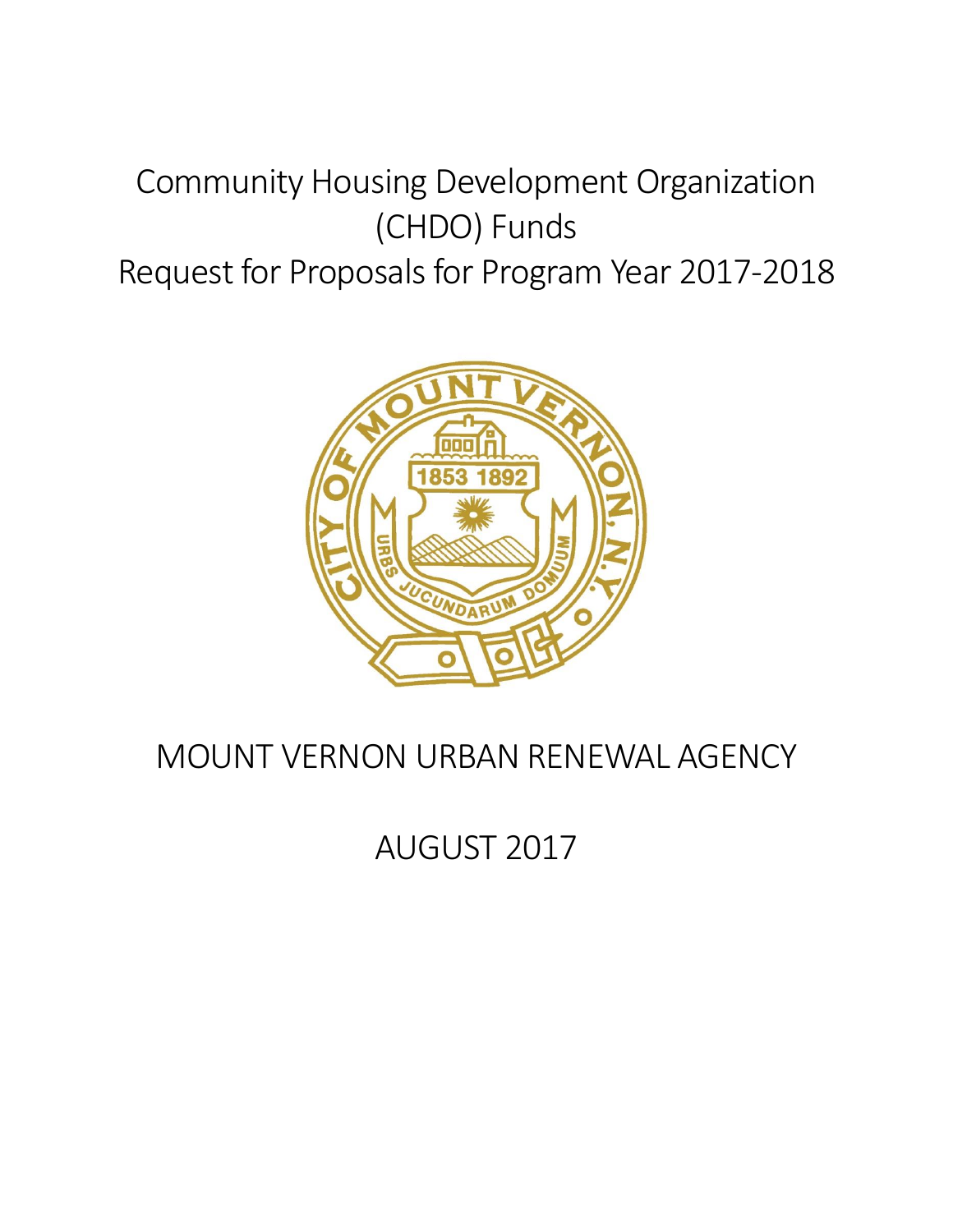# Community Housing Development Organization (CHDO) Funds

## Request for Proposals for Program Year 2017-2018



## MOUNT VERNON URBAN RENEWAL AGENCY

AUGUST 2017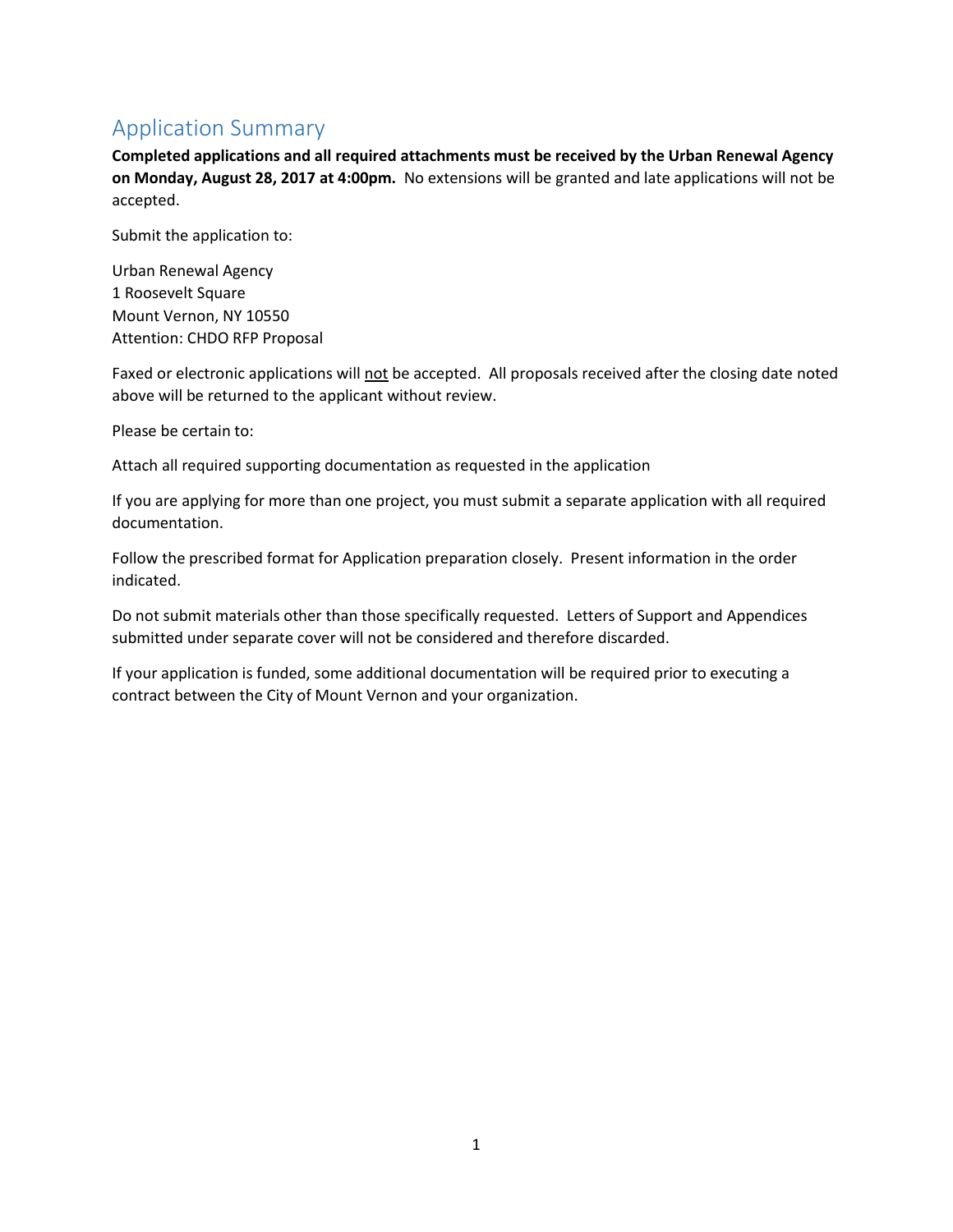## Application Summary

**Completed applications and all required attachments must be received by the Urban Renewal Agency on Monday, August 28, 2017 at 4:00pm.** No extensions will be granted and late applications will not be accepted.

Submit the application to:

Urban Renewal Agency 1 Roosevelt Square Mount Vernon, NY 10550 Attention: CHDO RFP Proposal

Faxed or electronic applications will not be accepted. All proposals received after the closing date noted above will be returned to the applicant without review.

Please be certain to:

Attach all required supporting documentation as requested in the application

If you are applying for more than one project, you must submit a separate application with all required documentation.

Follow the prescribed format for Application preparation closely. Present information in the order indicated.

Do not submit materials other than those specifically requested. Letters of Support and Appendices submitted under separate cover will not be considered and therefore discarded.

If your application is funded, some additional documentation will be required prior to executing a contract between the City of Mount Vernon and your organization.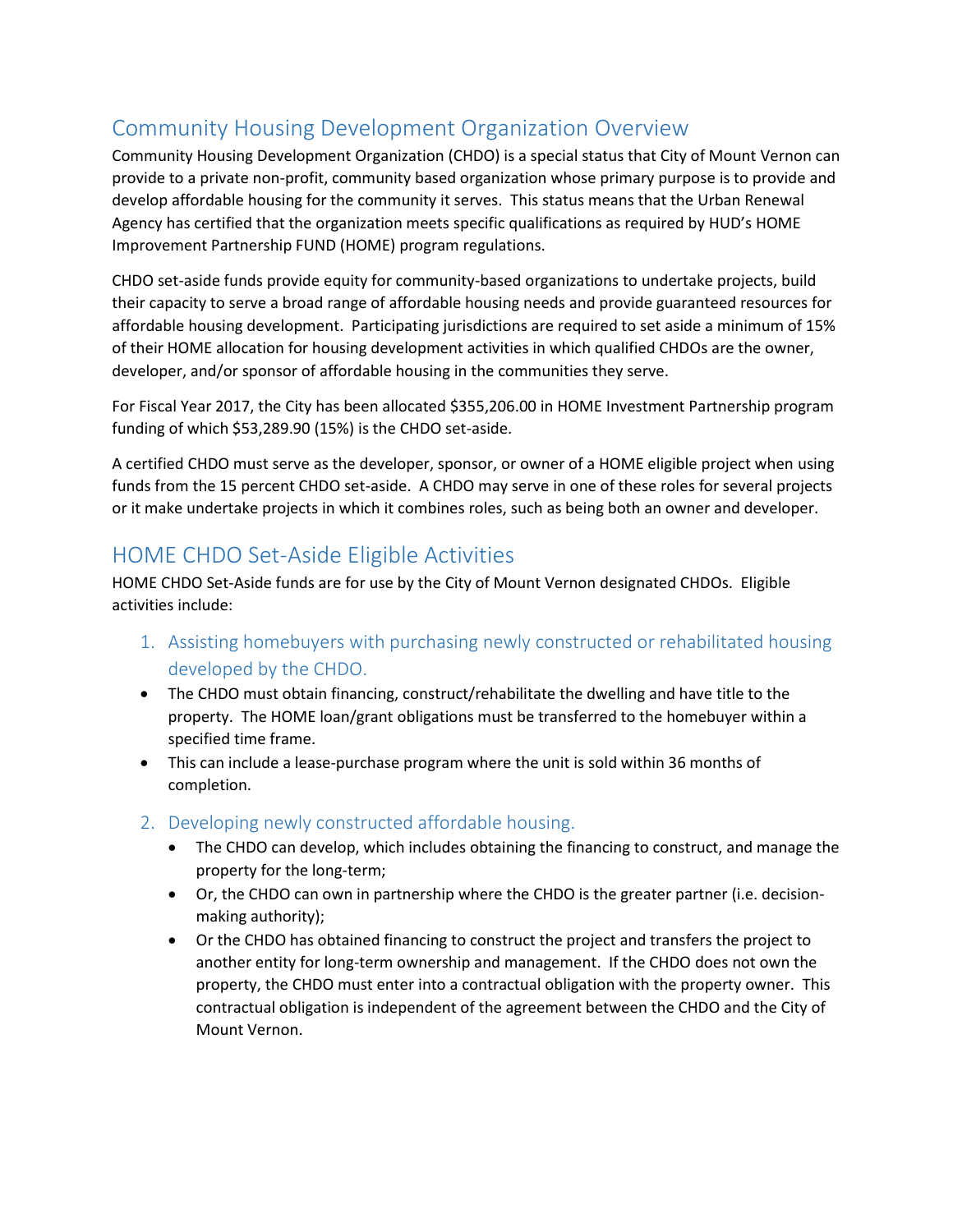## Community Housing Development Organization Overview

Community Housing Development Organization (CHDO) is a special status that City of Mount Vernon can provide to a private non-profit, community based organization whose primary purpose is to provide and develop affordable housing for the community it serves. This status means that the Urban Renewal Agency has certified that the organization meets specific qualifications as required by HUD's HOME Improvement Partnership FUND (HOME) program regulations.

CHDO set-aside funds provide equity for community-based organizations to undertake projects, build their capacity to serve a broad range of affordable housing needs and provide guaranteed resources for affordable housing development. Participating jurisdictions are required to set aside a minimum of 15% of their HOME allocation for housing development activities in which qualified CHDOs are the owner, developer, and/or sponsor of affordable housing in the communities they serve.

For Fiscal Year 2017, the City has been allocated \$355,206.00 in HOME Investment Partnership program funding of which \$53,289.90 (15%) is the CHDO set-aside.

A certified CHDO must serve as the developer, sponsor, or owner of a HOME eligible project when using funds from the 15 percent CHDO set-aside. A CHDO may serve in one of these roles for several projects or it make undertake projects in which it combines roles, such as being both an owner and developer.

## HOME CHDO Set-Aside Eligible Activities

HOME CHDO Set-Aside funds are for use by the City of Mount Vernon designated CHDOs. Eligible activities include:

- 1. Assisting homebuyers with purchasing newly constructed or rehabilitated housing developed by the CHDO.
- The CHDO must obtain financing, construct/rehabilitate the dwelling and have title to the property. The HOME loan/grant obligations must be transferred to the homebuyer within a specified time frame.
- This can include a lease-purchase program where the unit is sold within 36 months of completion.
- 2. Developing newly constructed affordable housing.
	- The CHDO can develop, which includes obtaining the financing to construct, and manage the property for the long-term;
	- Or, the CHDO can own in partnership where the CHDO is the greater partner (i.e. decisionmaking authority);
	- Or the CHDO has obtained financing to construct the project and transfers the project to another entity for long-term ownership and management. If the CHDO does not own the property, the CHDO must enter into a contractual obligation with the property owner. This contractual obligation is independent of the agreement between the CHDO and the City of Mount Vernon.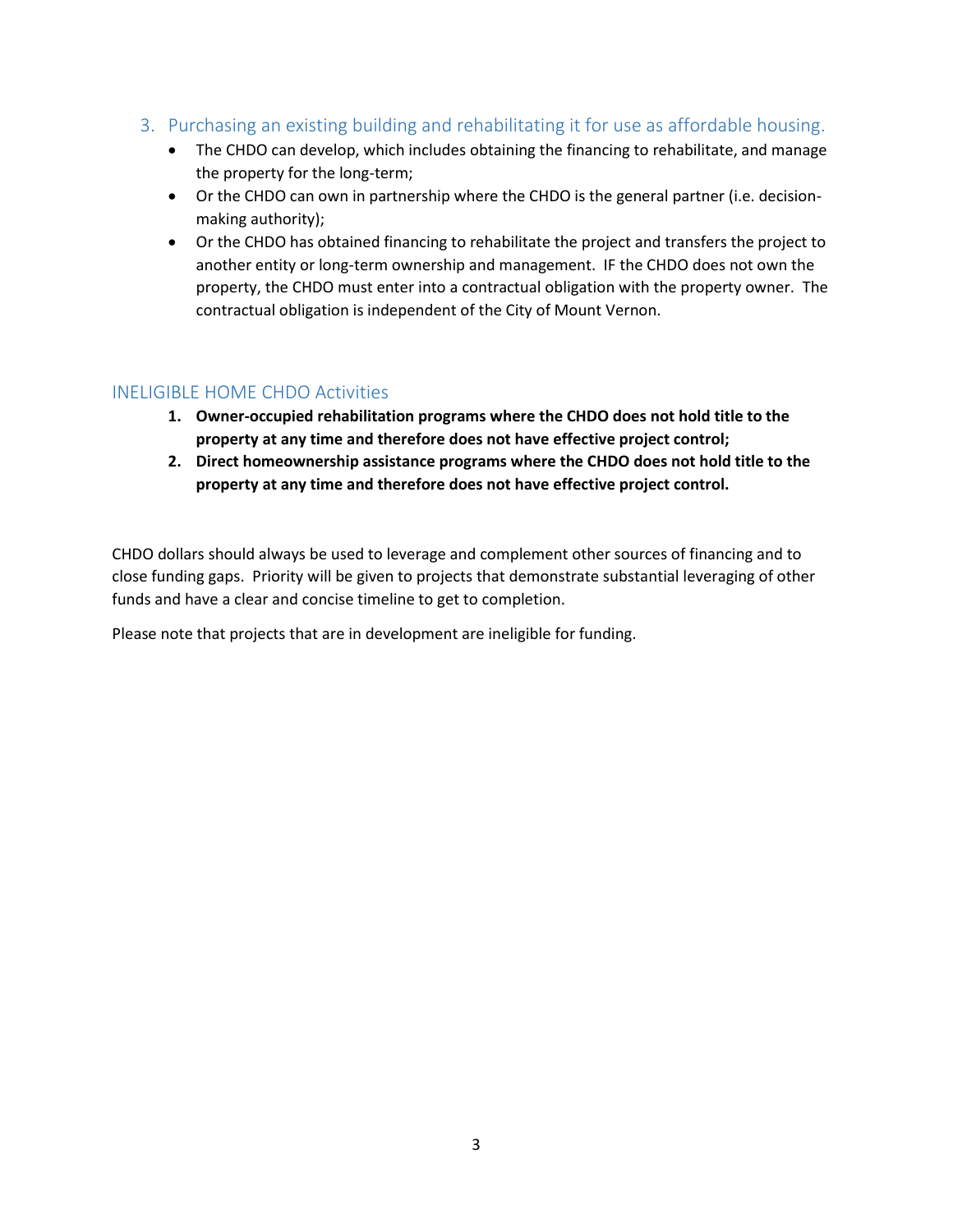- 3. Purchasing an existing building and rehabilitating it for use as affordable housing.
	- The CHDO can develop, which includes obtaining the financing to rehabilitate, and manage the property for the long-term;
	- Or the CHDO can own in partnership where the CHDO is the general partner (i.e. decisionmaking authority);
	- Or the CHDO has obtained financing to rehabilitate the project and transfers the project to another entity or long-term ownership and management. IF the CHDO does not own the property, the CHDO must enter into a contractual obligation with the property owner. The contractual obligation is independent of the City of Mount Vernon.

#### INELIGIBLE HOME CHDO Activities

- **1. Owner-occupied rehabilitation programs where the CHDO does not hold title to the property at any time and therefore does not have effective project control;**
- **2. Direct homeownership assistance programs where the CHDO does not hold title to the property at any time and therefore does not have effective project control.**

CHDO dollars should always be used to leverage and complement other sources of financing and to close funding gaps. Priority will be given to projects that demonstrate substantial leveraging of other funds and have a clear and concise timeline to get to completion.

Please note that projects that are in development are ineligible for funding.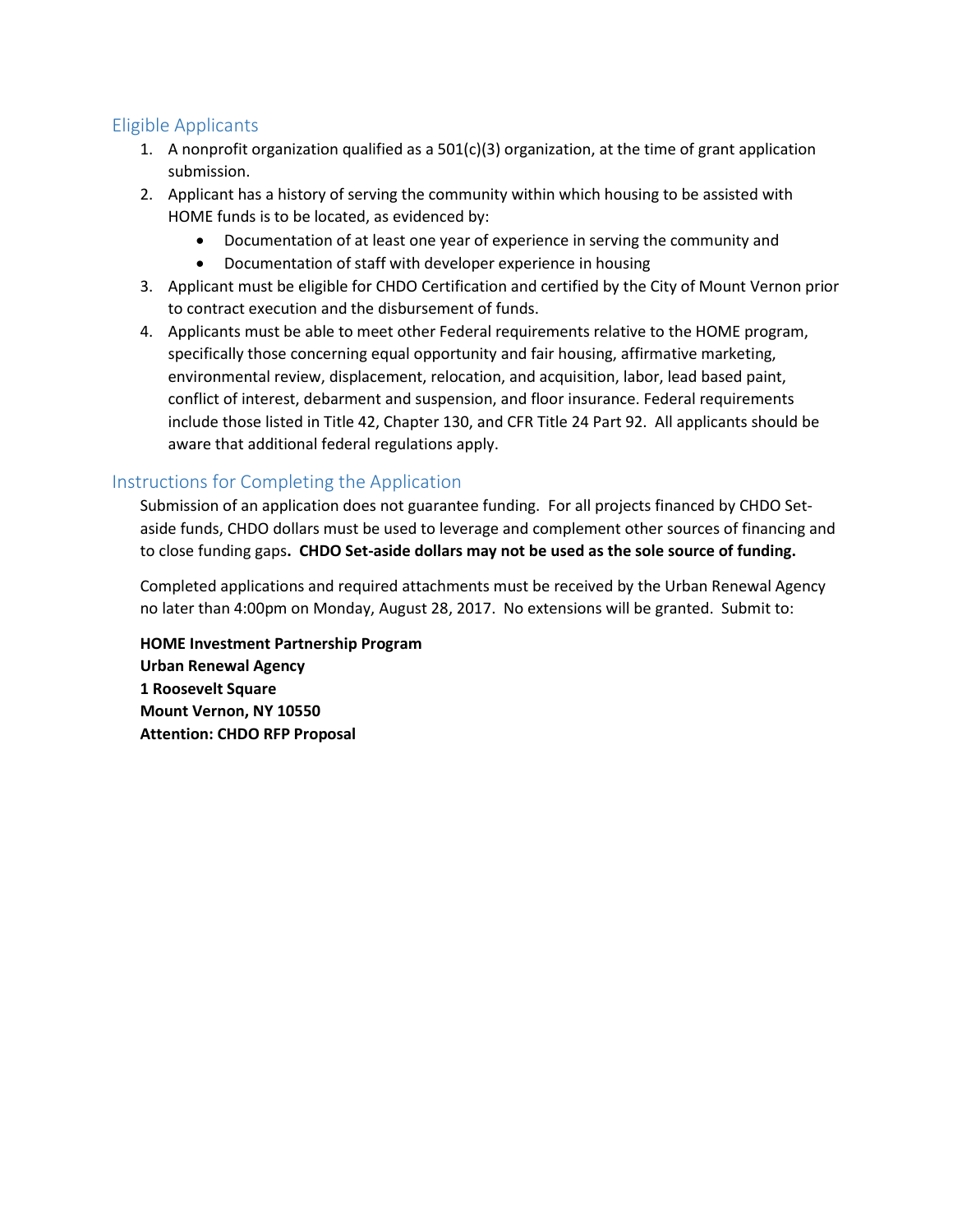### Eligible Applicants

- 1. A nonprofit organization qualified as a  $501(c)(3)$  organization, at the time of grant application submission.
- 2. Applicant has a history of serving the community within which housing to be assisted with HOME funds is to be located, as evidenced by:
	- Documentation of at least one year of experience in serving the community and
	- Documentation of staff with developer experience in housing
- 3. Applicant must be eligible for CHDO Certification and certified by the City of Mount Vernon prior to contract execution and the disbursement of funds.
- 4. Applicants must be able to meet other Federal requirements relative to the HOME program, specifically those concerning equal opportunity and fair housing, affirmative marketing, environmental review, displacement, relocation, and acquisition, labor, lead based paint, conflict of interest, debarment and suspension, and floor insurance. Federal requirements include those listed in Title 42, Chapter 130, and CFR Title 24 Part 92. All applicants should be aware that additional federal regulations apply.

## Instructions for Completing the Application

Submission of an application does not guarantee funding. For all projects financed by CHDO Setaside funds, CHDO dollars must be used to leverage and complement other sources of financing and to close funding gaps**. CHDO Set-aside dollars may not be used as the sole source of funding.**

Completed applications and required attachments must be received by the Urban Renewal Agency no later than 4:00pm on Monday, August 28, 2017. No extensions will be granted. Submit to:

**HOME Investment Partnership Program Urban Renewal Agency 1 Roosevelt Square Mount Vernon, NY 10550 Attention: CHDO RFP Proposal**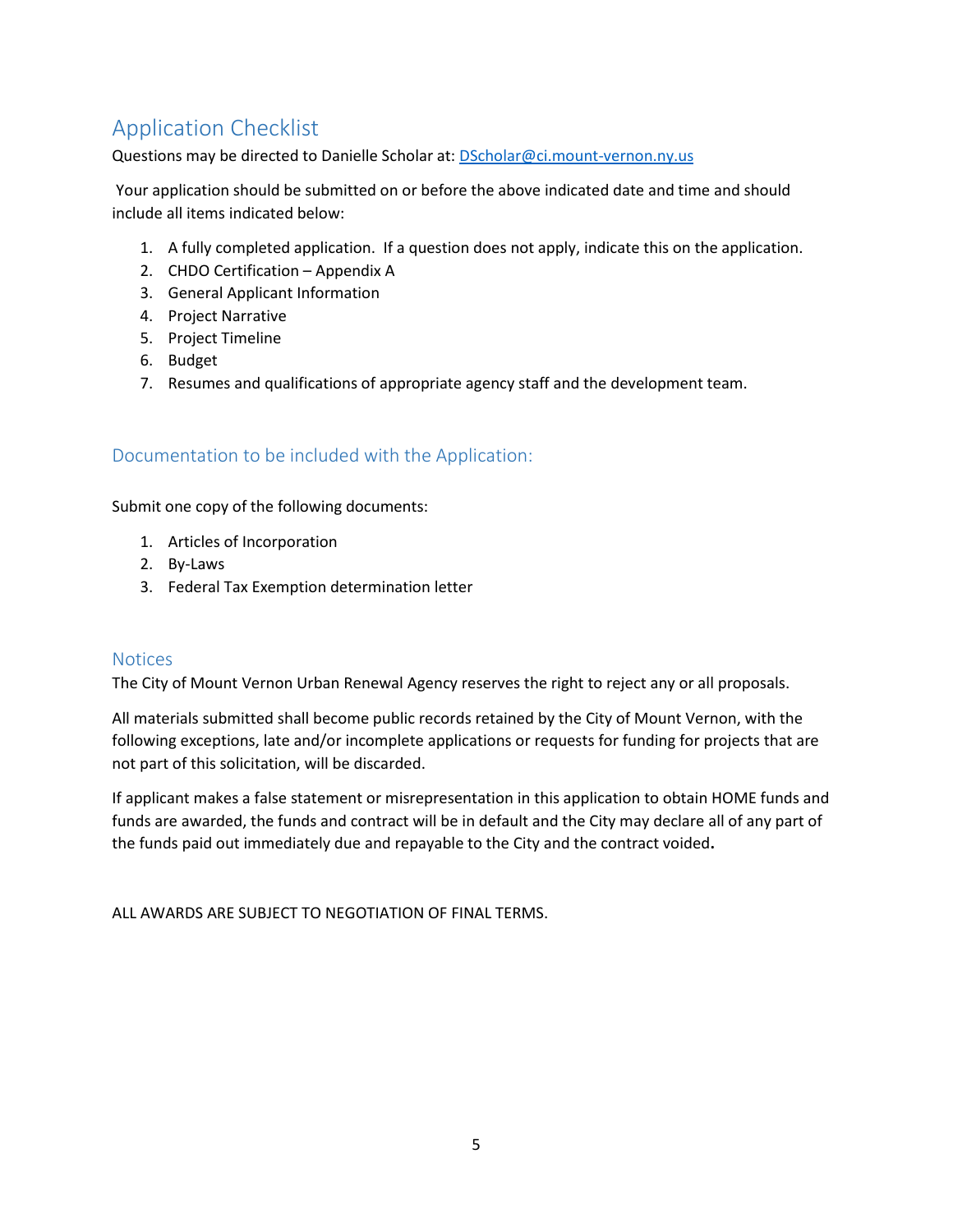## Application Checklist

Questions may be directed to Danielle Scholar at: [DScholar@ci.mount-vernon.ny.us](mailto:DScholar@ci.mount-vernon.ny.us)

Your application should be submitted on or before the above indicated date and time and should include all items indicated below:

- 1. A fully completed application. If a question does not apply, indicate this on the application.
- 2. CHDO Certification Appendix A
- 3. General Applicant Information
- 4. Project Narrative
- 5. Project Timeline
- 6. Budget
- 7. Resumes and qualifications of appropriate agency staff and the development team.

### Documentation to be included with the Application:

Submit one copy of the following documents:

- 1. Articles of Incorporation
- 2. By-Laws
- 3. Federal Tax Exemption determination letter

#### **Notices**

The City of Mount Vernon Urban Renewal Agency reserves the right to reject any or all proposals.

All materials submitted shall become public records retained by the City of Mount Vernon, with the following exceptions, late and/or incomplete applications or requests for funding for projects that are not part of this solicitation, will be discarded.

If applicant makes a false statement or misrepresentation in this application to obtain HOME funds and funds are awarded, the funds and contract will be in default and the City may declare all of any part of the funds paid out immediately due and repayable to the City and the contract voided**.**

ALL AWARDS ARE SUBJECT TO NEGOTIATION OF FINAL TERMS.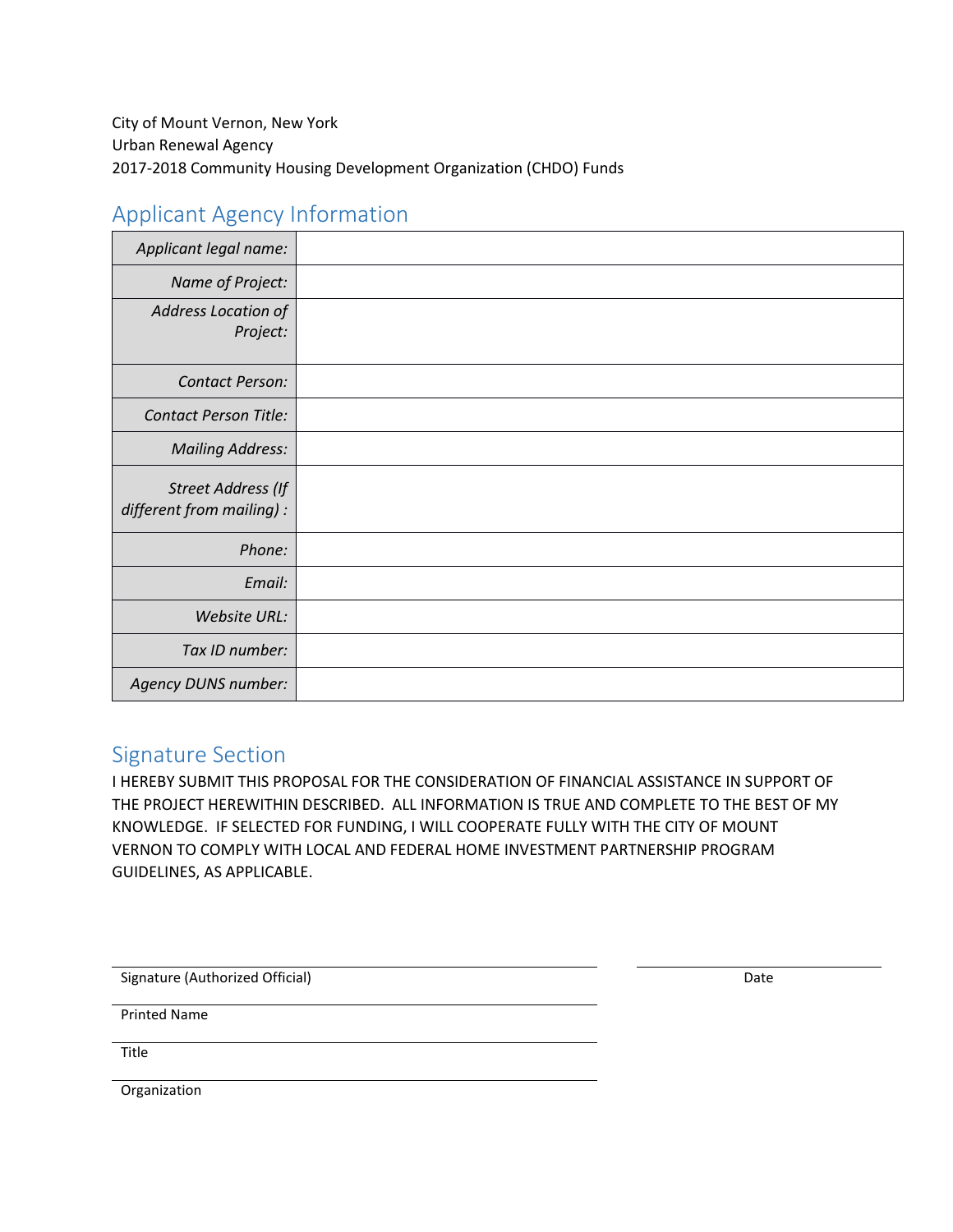## Applicant Agency Information

| Applicant legal name:                           |  |
|-------------------------------------------------|--|
| Name of Project:                                |  |
| Address Location of<br>Project:                 |  |
| <b>Contact Person:</b>                          |  |
| <b>Contact Person Title:</b>                    |  |
| <b>Mailing Address:</b>                         |  |
| Street Address (If<br>different from mailing) : |  |
| Phone:                                          |  |
| Email:                                          |  |
| Website URL:                                    |  |
| Tax ID number:                                  |  |
| Agency DUNS number:                             |  |

## Signature Section

I HEREBY SUBMIT THIS PROPOSAL FOR THE CONSIDERATION OF FINANCIAL ASSISTANCE IN SUPPORT OF THE PROJECT HEREWITHIN DESCRIBED. ALL INFORMATION IS TRUE AND COMPLETE TO THE BEST OF MY KNOWLEDGE. IF SELECTED FOR FUNDING, I WILL COOPERATE FULLY WITH THE CITY OF MOUNT VERNON TO COMPLY WITH LOCAL AND FEDERAL HOME INVESTMENT PARTNERSHIP PROGRAM GUIDELINES, AS APPLICABLE.

Signature (Authorized Official) Date

Printed Name

Title

Organization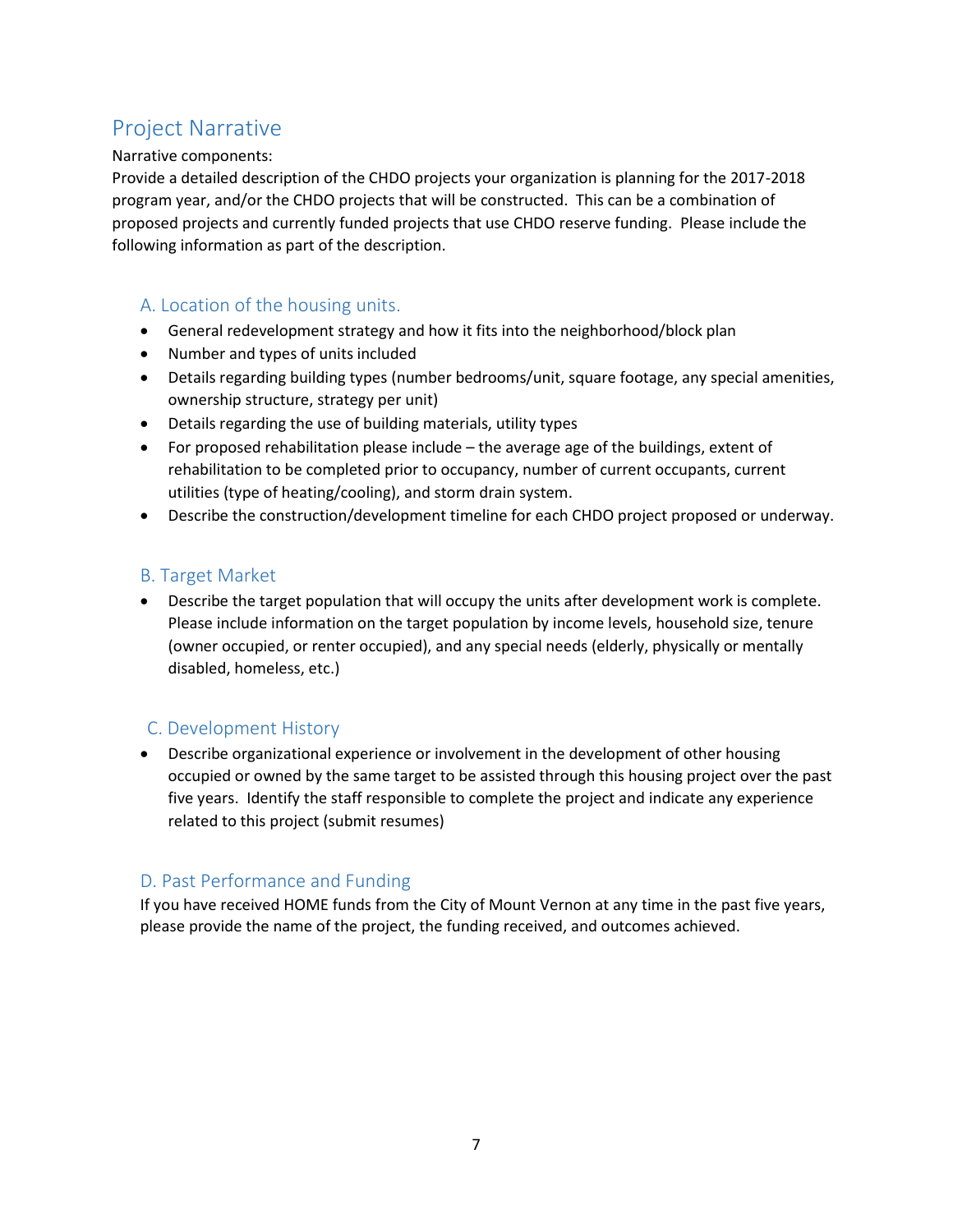## Project Narrative

Narrative components:

Provide a detailed description of the CHDO projects your organization is planning for the 2017-2018 program year, and/or the CHDO projects that will be constructed. This can be a combination of proposed projects and currently funded projects that use CHDO reserve funding. Please include the following information as part of the description.

## A. Location of the housing units.

- General redevelopment strategy and how it fits into the neighborhood/block plan
- Number and types of units included
- Details regarding building types (number bedrooms/unit, square footage, any special amenities, ownership structure, strategy per unit)
- Details regarding the use of building materials, utility types
- For proposed rehabilitation please include the average age of the buildings, extent of rehabilitation to be completed prior to occupancy, number of current occupants, current utilities (type of heating/cooling), and storm drain system.
- Describe the construction/development timeline for each CHDO project proposed or underway.

### B. Target Market

• Describe the target population that will occupy the units after development work is complete. Please include information on the target population by income levels, household size, tenure (owner occupied, or renter occupied), and any special needs (elderly, physically or mentally disabled, homeless, etc.)

### C. Development History

• Describe organizational experience or involvement in the development of other housing occupied or owned by the same target to be assisted through this housing project over the past five years. Identify the staff responsible to complete the project and indicate any experience related to this project (submit resumes)

## D. Past Performance and Funding

If you have received HOME funds from the City of Mount Vernon at any time in the past five years, please provide the name of the project, the funding received, and outcomes achieved.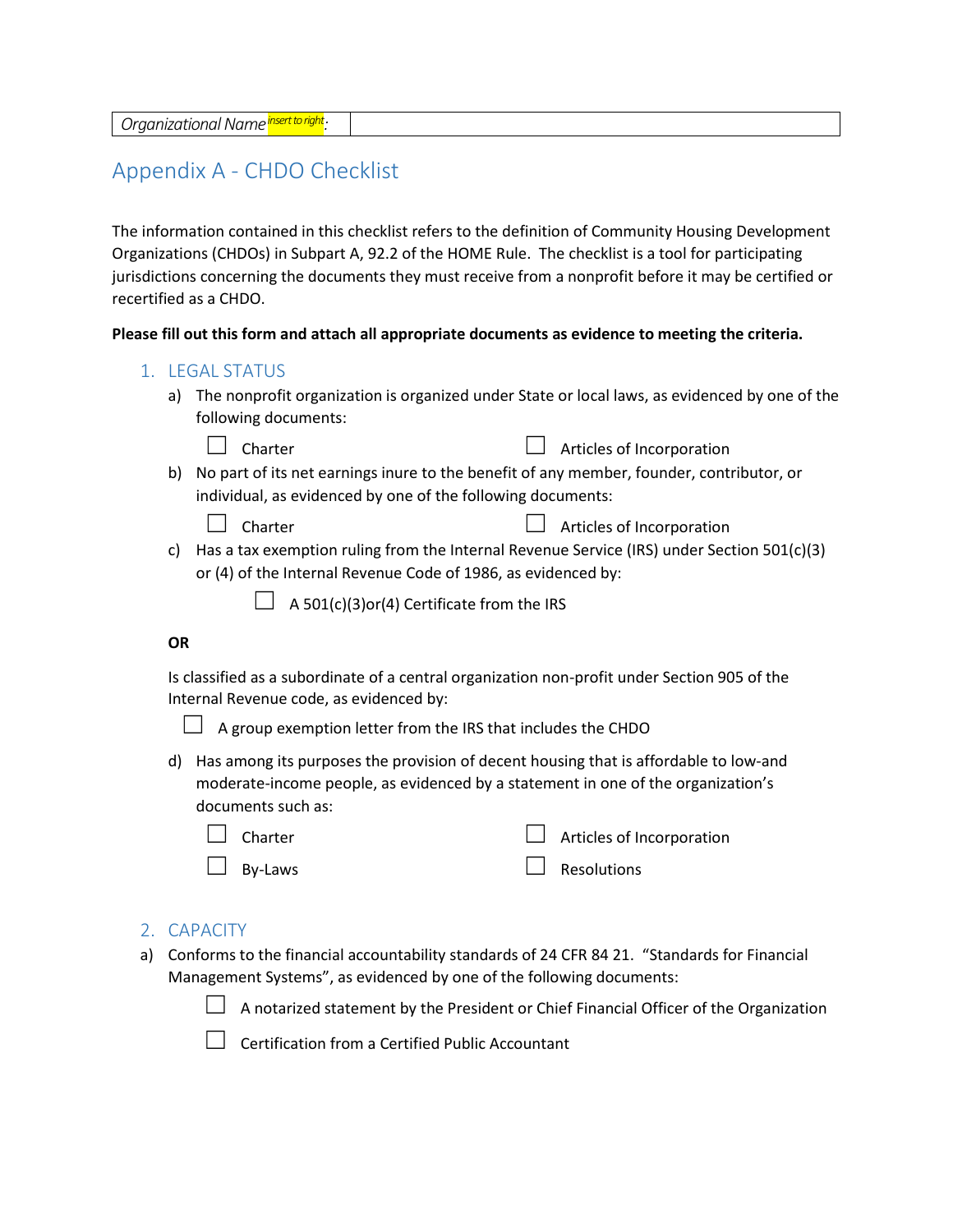## Appendix A - CHDO Checklist

The information contained in this checklist refers to the definition of Community Housing Development Organizations (CHDOs) in Subpart A, 92.2 of the HOME Rule. The checklist is a tool for participating jurisdictions concerning the documents they must receive from a nonprofit before it may be certified or recertified as a CHDO.

**Please fill out this form and attach all appropriate documents as evidence to meeting the criteria.**

| 1. LEGAL STATUS |  |  |
|-----------------|--|--|
|                 |  |  |

a) The nonprofit organization is organized under State or local laws, as evidenced by one of the following documents:

| $\Box$ Charter | $\Box$ Articles of Incorporation |
|----------------|----------------------------------|
|----------------|----------------------------------|

b) No part of its net earnings inure to the benefit of any member, founder, contributor, or individual, as evidenced by one of the following documents:

|  | .narte |
|--|--------|
|--|--------|

- ☐ Charter ☐ Articles of Incorporation
- c) Has a tax exemption ruling from the Internal Revenue Service (IRS) under Section 501(c)(3) or (4) of the Internal Revenue Code of 1986, as evidenced by:
	- $\Box$  A 501(c)(3)or(4) Certificate from the IRS

#### **OR**

Is classified as a subordinate of a central organization non-profit under Section 905 of the Internal Revenue code, as evidenced by:



 $\Box$  A group exemption letter from the IRS that includes the CHDO

d) Has among its purposes the provision of decent housing that is affordable to low-and moderate-income people, as evidenced by a statement in one of the organization's documents such as:

| $\Box$ Charter | $\Box$ Articles of Incorporation |
|----------------|----------------------------------|
| $\Box$ By-Laws | $\Box$ Resolutions               |

### 2. CAPACITY

a) Conforms to the financial accountability standards of 24 CFR 84 21. "Standards for Financial Management Systems", as evidenced by one of the following documents:



☐ Certification from a Certified Public Accountant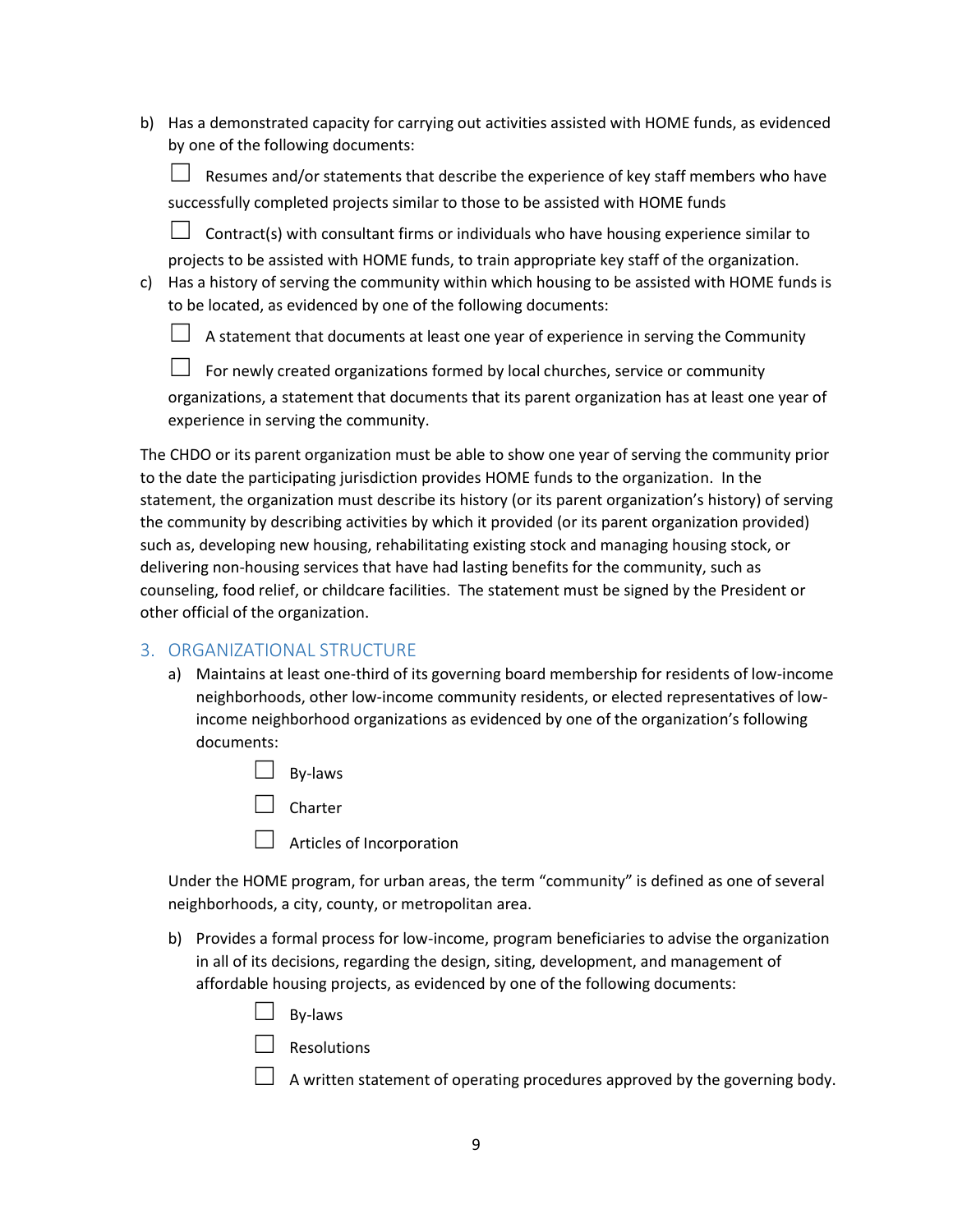b) Has a demonstrated capacity for carrying out activities assisted with HOME funds, as evidenced by one of the following documents:

Resumes and/or statements that describe the experience of key staff members who have successfully completed projects similar to those to be assisted with HOME funds

 $\Box$  Contract(s) with consultant firms or individuals who have housing experience similar to projects to be assisted with HOME funds, to train appropriate key staff of the organization.

c) Has a history of serving the community within which housing to be assisted with HOME funds is to be located, as evidenced by one of the following documents:

 $\Box$  A statement that documents at least one year of experience in serving the Community

 $\Box$  For newly created organizations formed by local churches, service or community organizations, a statement that documents that its parent organization has at least one year of experience in serving the community.

The CHDO or its parent organization must be able to show one year of serving the community prior to the date the participating jurisdiction provides HOME funds to the organization. In the statement, the organization must describe its history (or its parent organization's history) of serving the community by describing activities by which it provided (or its parent organization provided) such as, developing new housing, rehabilitating existing stock and managing housing stock, or delivering non-housing services that have had lasting benefits for the community, such as counseling, food relief, or childcare facilities. The statement must be signed by the President or other official of the organization.

#### 3. ORGANIZATIONAL STRUCTURE

- a) Maintains at least one-third of its governing board membership for residents of low-income neighborhoods, other low-income community residents, or elected representatives of lowincome neighborhood organizations as evidenced by one of the organization's following documents:
	- □ By-laws

☐ Charter

 $\Box$  Articles of Incorporation

Under the HOME program, for urban areas, the term "community" is defined as one of several neighborhoods, a city, county, or metropolitan area.

- b) Provides a formal process for low-income, program beneficiaries to advise the organization in all of its decisions, regarding the design, siting, development, and management of affordable housing projects, as evidenced by one of the following documents:
	- ☐ By-laws

 $\Box$  Resolutions

 $\Box$  A written statement of operating procedures approved by the governing body.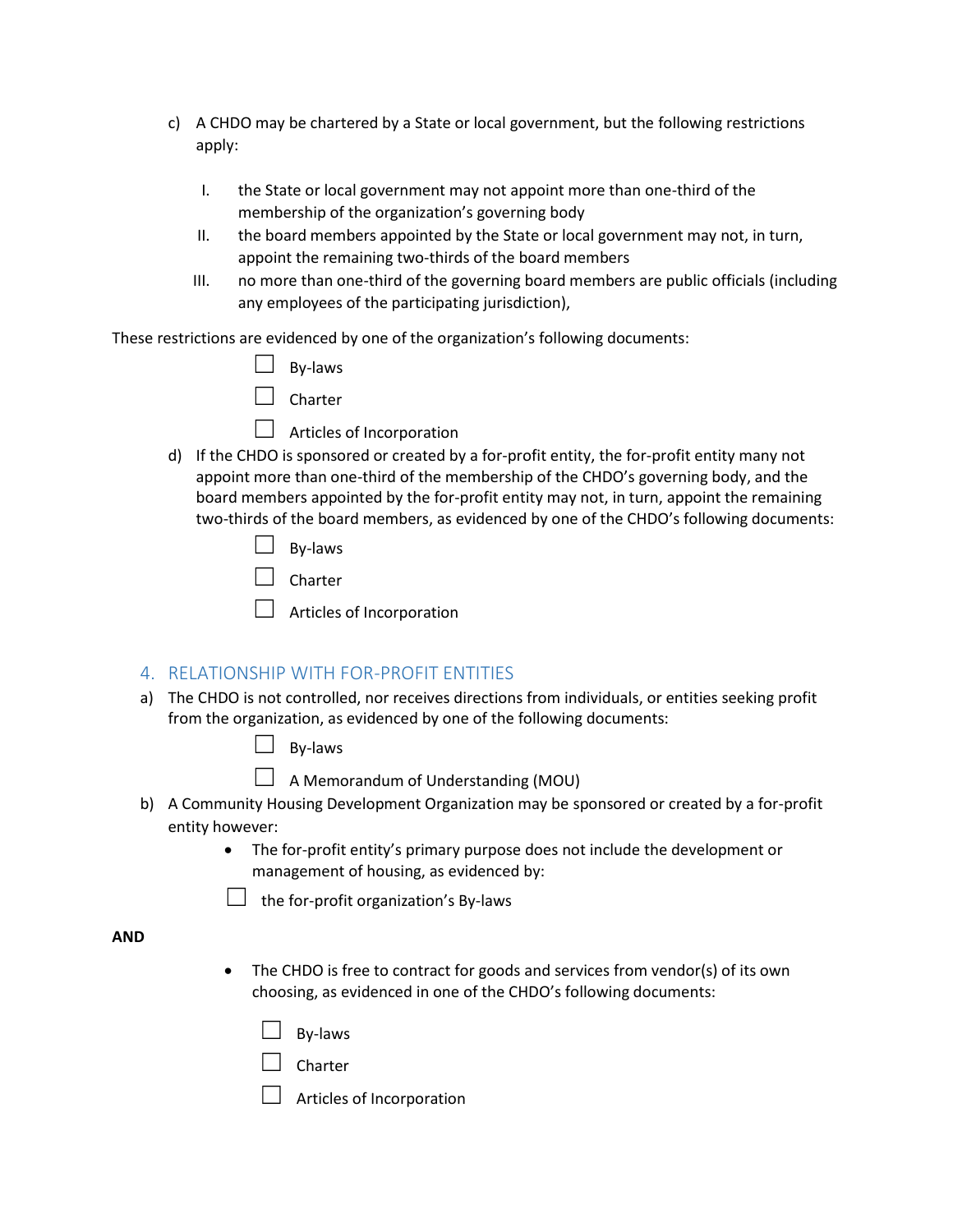- c) A CHDO may be chartered by a State or local government, but the following restrictions apply:
	- I. the State or local government may not appoint more than one-third of the membership of the organization's governing body
	- II. the board members appointed by the State or local government may not, in turn, appoint the remaining two-thirds of the board members
	- III. no more than one-third of the governing board members are public officials (including any employees of the participating jurisdiction),

These restrictions are evidenced by one of the organization's following documents:

| By-laws |
|---------|
|         |

| Charter |
|---------|
|---------|

 $\Box$  Articles of Incorporation

d) If the CHDO is sponsored or created by a for-profit entity, the for-profit entity many not appoint more than one-third of the membership of the CHDO's governing body, and the board members appointed by the for-profit entity may not, in turn, appoint the remaining two-thirds of the board members, as evidenced by one of the CHDO's following documents:

| .narter |
|---------|
|---------|

 $\Box$  Articles of Incorporation

### 4. RELATIONSHIP WITH FOR-PROFIT ENTITIES

a) The CHDO is not controlled, nor receives directions from individuals, or entities seeking profit from the organization, as evidenced by one of the following documents:

By-laws

A Memorandum of Understanding (MOU)

- b) A Community Housing Development Organization may be sponsored or created by a for-profit entity however:
	- The for-profit entity's primary purpose does not include the development or management of housing, as evidenced by:

 $\Box$  the for-profit organization's By-laws

#### **AND**

- The CHDO is free to contract for goods and services from vendor(s) of its own choosing, as evidenced in one of the CHDO's following documents:
	- By-laws

☐ Charter

 $\Box$  Articles of Incorporation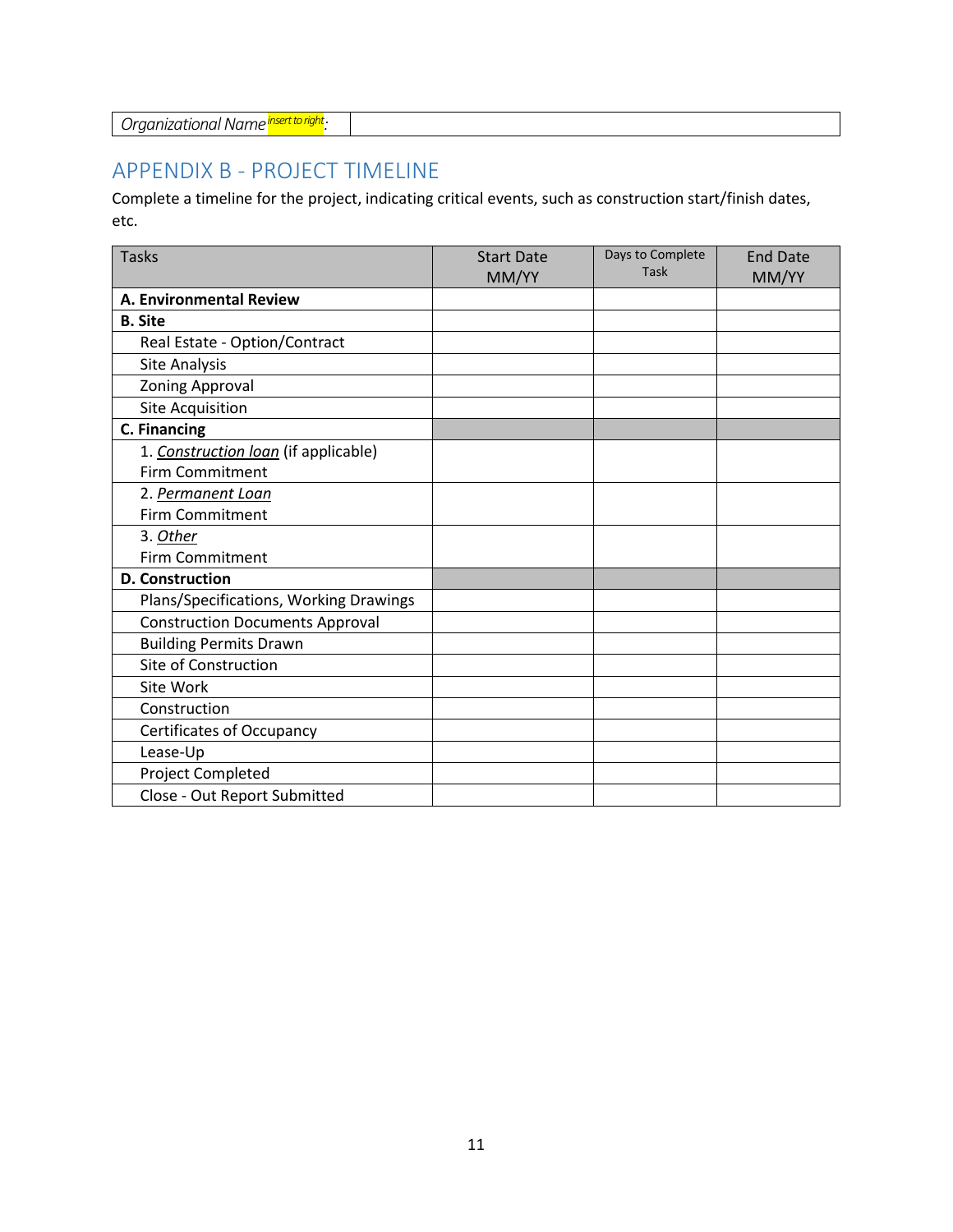| Organizational Name insert to right. |  |
|--------------------------------------|--|
|--------------------------------------|--|

## APPENDIX B - PROJECT TIMELINE

Complete a timeline for the project, indicating critical events, such as construction start/finish dates, etc.

| <b>Tasks</b>                           | <b>Start Date</b><br>MM/YY | Days to Complete<br><b>Task</b> | <b>End Date</b><br>MM/YY |
|----------------------------------------|----------------------------|---------------------------------|--------------------------|
| A. Environmental Review                |                            |                                 |                          |
| <b>B.</b> Site                         |                            |                                 |                          |
| Real Estate - Option/Contract          |                            |                                 |                          |
| Site Analysis                          |                            |                                 |                          |
| <b>Zoning Approval</b>                 |                            |                                 |                          |
| <b>Site Acquisition</b>                |                            |                                 |                          |
| <b>C. Financing</b>                    |                            |                                 |                          |
| 1. Construction loan (if applicable)   |                            |                                 |                          |
| <b>Firm Commitment</b>                 |                            |                                 |                          |
| 2. Permanent Loan                      |                            |                                 |                          |
| <b>Firm Commitment</b>                 |                            |                                 |                          |
| 3. Other                               |                            |                                 |                          |
| <b>Firm Commitment</b>                 |                            |                                 |                          |
| <b>D. Construction</b>                 |                            |                                 |                          |
| Plans/Specifications, Working Drawings |                            |                                 |                          |
| <b>Construction Documents Approval</b> |                            |                                 |                          |
| <b>Building Permits Drawn</b>          |                            |                                 |                          |
| Site of Construction                   |                            |                                 |                          |
| Site Work                              |                            |                                 |                          |
| Construction                           |                            |                                 |                          |
| <b>Certificates of Occupancy</b>       |                            |                                 |                          |
| Lease-Up                               |                            |                                 |                          |
| Project Completed                      |                            |                                 |                          |
| Close - Out Report Submitted           |                            |                                 |                          |